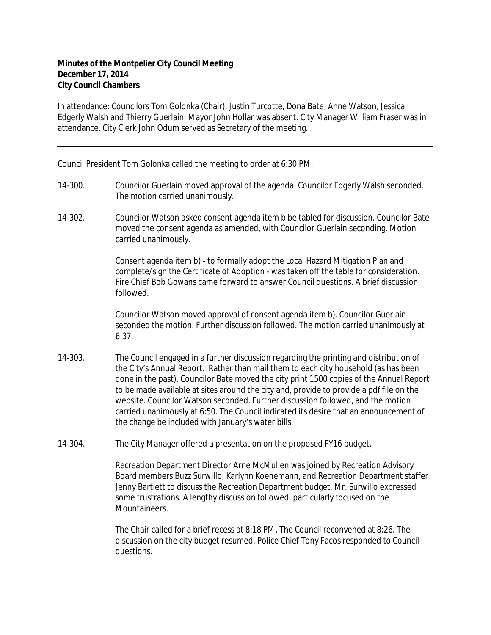## **Minutes of the Montpelier City Council Meeting December 17, 2014 City Council Chambers**

In attendance: Councilors Tom Golonka (Chair), Justin Turcotte, Dona Bate, Anne Watson, Jessica Edgerly Walsh and Thierry Guerlain. Mayor John Hollar was absent. City Manager William Fraser was in attendance. City Clerk John Odum served as Secretary of the meeting.

Council President Tom Golonka called the meeting to order at 6:30 PM.

- 14-300. Councilor Guerlain moved approval of the agenda. Councilor Edgerly Walsh seconded. The motion carried unanimously.
- 14-302. Councilor Watson asked consent agenda item b be tabled for discussion. Councilor Bate moved the consent agenda as amended, with Councilor Guerlain seconding. Motion carried unanimously.

Consent agenda item b) - to formally adopt the Local Hazard Mitigation Plan and complete/sign the Certificate of Adoption - was taken off the table for consideration. Fire Chief Bob Gowans came forward to answer Council questions. A brief discussion followed.

Councilor Watson moved approval of consent agenda item b). Councilor Guerlain seconded the motion. Further discussion followed. The motion carried unanimously at 6:37.

- 14-303. The Council engaged in a further discussion regarding the printing and distribution of the City's Annual Report. Rather than mail them to each city household (as has been done in the past), Councilor Bate moved the city print 1500 copies of the Annual Report to be made available at sites around the city and, provide to provide a pdf file on the website. Councilor Watson seconded. Further discussion followed, and the motion carried unanimously at 6:50. The Council indicated its desire that an announcement of the change be included with January's water bills.
- 14-304. The City Manager offered a presentation on the proposed FY16 budget.

Recreation Department Director Arne McMullen was joined by Recreation Advisory Board members Buzz Surwillo, Karlynn Koenemann, and Recreation Department staffer Jenny Bartlett to discuss the Recreation Department budget. Mr. Surwillo expressed some frustrations. A lengthy discussion followed, particularly focused on the Mountaineers.

The Chair called for a brief recess at 8:18 PM. The Council reconvened at 8:26. The discussion on the city budget resumed. Police Chief Tony Facos responded to Council questions.